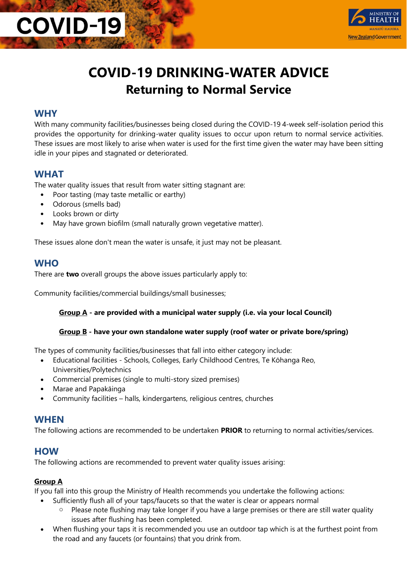

### **COVID-19 DRINKING-WATER ADVICE Returning to Normal Service**

#### **WHY**

**COVID-19** 

With many community facilities/businesses being closed during the COVID-19 4-week self-isolation period this provides the opportunity for drinking-water quality issues to occur upon return to normal service activities. These issues are most likely to arise when water is used for the first time given the water may have been sitting idle in your pipes and stagnated or deteriorated.

#### **WHAT**

The water quality issues that result from water sitting stagnant are:

- Poor tasting (may taste metallic or earthy)
- Odorous (smells bad)
- Looks brown or dirty
- May have grown biofilm (small naturally grown vegetative matter).

These issues alone don't mean the water is unsafe, it just may not be pleasant.

#### **WHO**

There are **two** overall groups the above issues particularly apply to:

Community facilities/commercial buildings/small businesses;

#### **Group A - are provided with a municipal water supply (i.e. via your local Council)**

#### **Group B - have your own standalone water supply (roof water or private bore/spring)**

The types of community facilities/businesses that fall into either category include:

- Educational facilities Schools, Colleges, Early Childhood Centres, Te Kōhanga Reo, Universities/Polytechnics
- Commercial premises (single to multi-story sized premises)
- Marae and Papakāinga
- Community facilities halls, kindergartens, religious centres, churches

#### **WHEN**

The following actions are recommended to be undertaken **PRIOR** to returning to normal activities/services.

#### **HOW**

The following actions are recommended to prevent water quality issues arising:

#### **Group A**

If you fall into this group the Ministry of Health recommends you undertake the following actions:

- Sufficiently flush all of your taps/faucets so that the water is clear or appears normal
	- o Please note flushing may take longer if you have a large premises or there are still water quality issues after flushing has been completed.
- When flushing your taps it is recommended you use an outdoor tap which is at the furthest point from the road and any faucets (or fountains) that you drink from.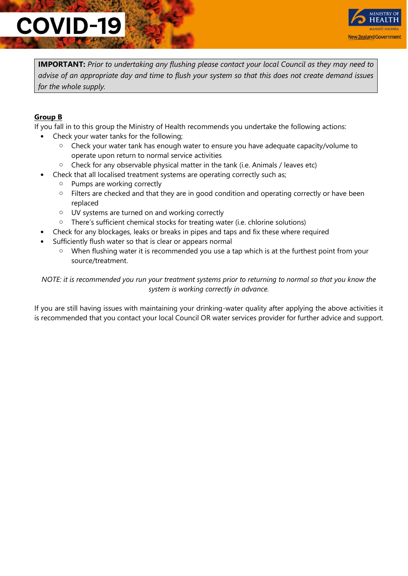# **COVID-19**



**IMPORTANT:** *Prior to undertaking any flushing please contact your local Council as they may need to advise of an appropriate day and time to flush your system so that this does not create demand issues for the whole supply.*

#### **Group B**

If you fall in to this group the Ministry of Health recommends you undertake the following actions:

- Check your water tanks for the following;
	- o Check your water tank has enough water to ensure you have adequate capacity/volume to operate upon return to normal service activities
	- $\circ$  Check for any observable physical matter in the tank (i.e. Animals / leaves etc)
- Check that all localised treatment systems are operating correctly such as;
	- o Pumps are working correctly
	- $\circ$  Filters are checked and that they are in good condition and operating correctly or have been replaced
	- o UV systems are turned on and working correctly
	- o There's sufficient chemical stocks for treating water (i.e. chlorine solutions)
- Check for any blockages, leaks or breaks in pipes and taps and fix these where required
- Sufficiently flush water so that is clear or appears normal
	- o When flushing water it is recommended you use a tap which is at the furthest point from your source/treatment.

*NOTE: it is recommended you run your treatment systems prior to returning to normal so that you know the system is working correctly in advance.*

If you are still having issues with maintaining your drinking-water quality after applying the above activities it is recommended that you contact your local Council OR water services provider for further advice and support.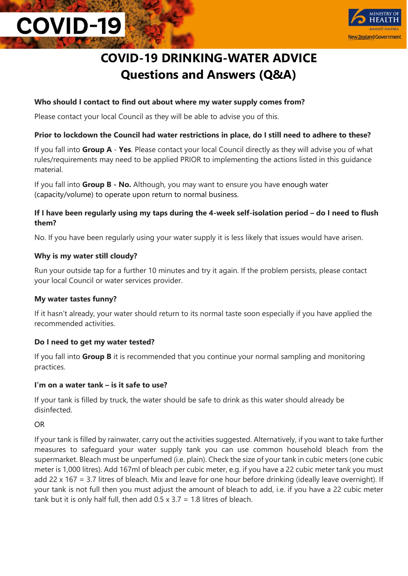# **COVID-19**



### **COVID-19 DRINKING-WATER ADVICE Questions and Answers (Q&A)**

#### **Who should I contact to find out about where my water supply comes from?**

Please contact your local Council as they will be able to advise you of this.

#### **Prior to lockdown the Council had water restrictions in place, do I still need to adhere to these?**

If you fall into **Group A** - **Yes**. Please contact your local Council directly as they will advise you of what rules/requirements may need to be applied PRIOR to implementing the actions listed in this guidance material.

If you fall into **Group B - No.** Although, you may want to ensure you have enough water (capacity/volume) to operate upon return to normal business.

#### **If I have been regularly using my taps during the 4-week self-isolation period – do I need to flush them?**

No. If you have been regularly using your water supply it is less likely that issues would have arisen.

#### **Why is my water still cloudy?**

Run your outside tap for a further 10 minutes and try it again. If the problem persists, please contact your local Council or water services provider.

#### **My water tastes funny?**

If it hasn't already, your water should return to its normal taste soon especially if you have applied the recommended activities.

#### **Do I need to get my water tested?**

If you fall into **Group B** it is recommended that you continue your normal sampling and monitoring practices.

#### **I'm on a water tank – is it safe to use?**

If your tank is filled by truck, the water should be safe to drink as this water should already be disinfected.

#### OR

If your tank is filled by rainwater, carry out the activities suggested. Alternatively, if you want to take further measures to safeguard your water supply tank you can use common household bleach from the supermarket. Bleach must be unperfumed (i.e. plain). Check the size of your tank in cubic meters (one cubic meter is 1,000 litres). Add 167ml of bleach per cubic meter, e.g. if you have a 22 cubic meter tank you must add 22 x 167 = 3.7 litres of bleach. Mix and leave for one hour before drinking (ideally leave overnight). If your tank is not full then you must adjust the amount of bleach to add, i.e. if you have a 22 cubic meter tank but it is only half full, then add  $0.5 \times 3.7 = 1.8$  litres of bleach.